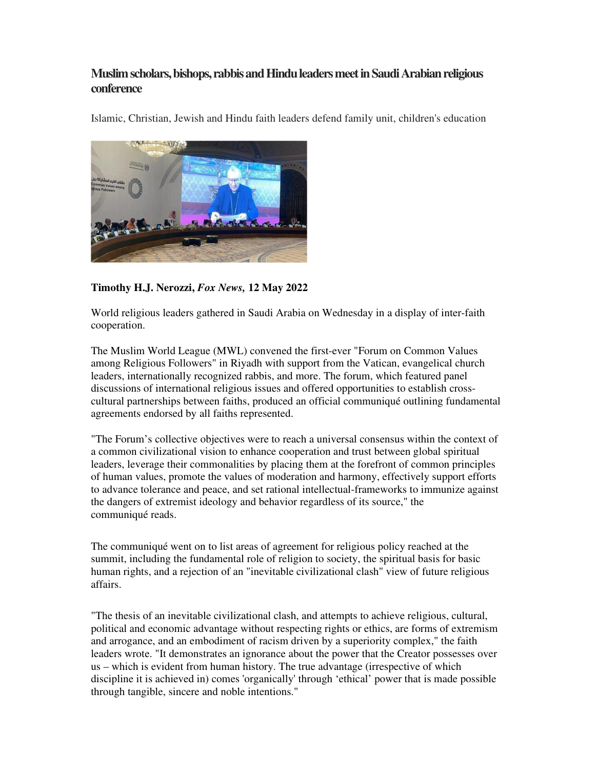## **Muslim scholars, bishops, rabbis and Hindu leaders meet in Saudi Arabian religious conference**

Islamic, Christian, Jewish and Hindu faith leaders defend family unit, children's education



**Timothy H.J. Nerozzi,** *Fox News,* **12 May 2022** 

World religious leaders gathered in Saudi Arabia on Wednesday in a display of inter-faith cooperation.

The Muslim World League (MWL) convened the first-ever "Forum on Common Values among Religious Followers" in Riyadh with support from the Vatican, evangelical church leaders, internationally recognized rabbis, and more. The forum, which featured panel discussions of international religious issues and offered opportunities to establish crosscultural partnerships between faiths, produced an official communiqué outlining fundamental agreements endorsed by all faiths represented.

"The Forum's collective objectives were to reach a universal consensus within the context of a common civilizational vision to enhance cooperation and trust between global spiritual leaders, leverage their commonalities by placing them at the forefront of common principles of human values, promote the values of moderation and harmony, effectively support efforts to advance tolerance and peace, and set rational intellectual-frameworks to immunize against the dangers of extremist ideology and behavior regardless of its source," the communiqué reads.

The communiqué went on to list areas of agreement for religious policy reached at the summit, including the fundamental role of religion to society, the spiritual basis for basic human rights, and a rejection of an "inevitable civilizational clash" view of future religious affairs.

"The thesis of an inevitable civilizational clash, and attempts to achieve religious, cultural, political and economic advantage without respecting rights or ethics, are forms of extremism and arrogance, and an embodiment of racism driven by a superiority complex," the faith leaders wrote. "It demonstrates an ignorance about the power that the Creator possesses over us – which is evident from human history. The true advantage (irrespective of which discipline it is achieved in) comes 'organically' through 'ethical' power that is made possible through tangible, sincere and noble intentions."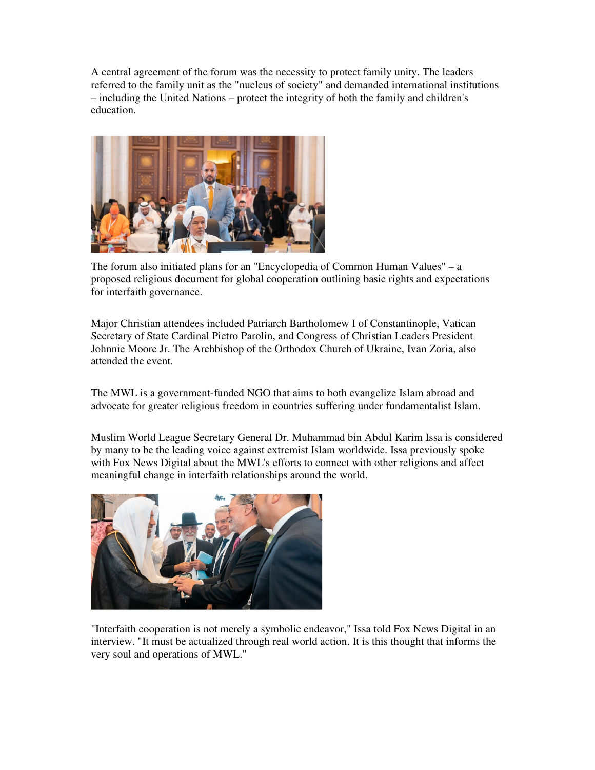A central agreement of the forum was the necessity to protect family unity. The leaders referred to the family unit as the "nucleus of society" and demanded international institutions – including the United Nations – protect the integrity of both the family and children's education.



The forum also initiated plans for an "Encyclopedia of Common Human Values" – a proposed religious document for global cooperation outlining basic rights and expectations for interfaith governance.

Major Christian attendees included Patriarch Bartholomew I of Constantinople, Vatican Secretary of State Cardinal Pietro Parolin, and Congress of Christian Leaders President Johnnie Moore Jr. The Archbishop of the Orthodox Church of Ukraine, Ivan Zoria, also attended the event.

The MWL is a government-funded NGO that aims to both evangelize Islam abroad and advocate for greater religious freedom in countries suffering under fundamentalist Islam.

Muslim World League Secretary General Dr. Muhammad bin Abdul Karim Issa is considered by many to be the leading voice against extremist Islam worldwide. Issa previously spoke with Fox News Digital about the MWL's efforts to connect with other religions and affect meaningful change in interfaith relationships around the world.



"Interfaith cooperation is not merely a symbolic endeavor," Issa told Fox News Digital in an interview. "It must be actualized through real world action. It is this thought that informs the very soul and operations of MWL."